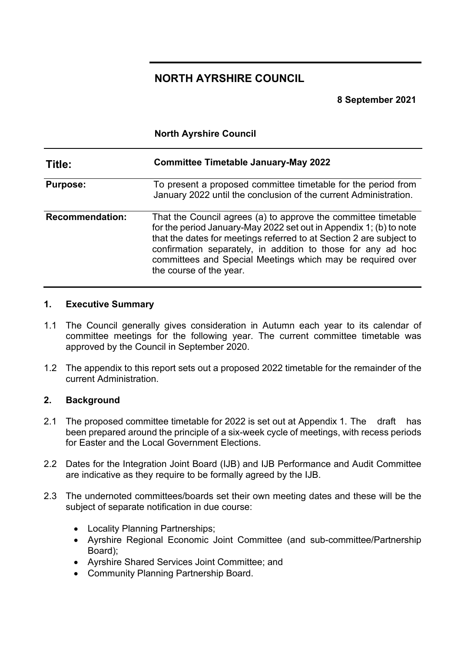# **NORTH AYRSHIRE COUNCIL**

**8 September 2021**

**North Ayrshire Council**

| Title:                 | <b>Committee Timetable January-May 2022</b><br>To present a proposed committee timetable for the period from<br>January 2022 until the conclusion of the current Administration.                                                                                                                                                                                     |  |  |  |  |
|------------------------|----------------------------------------------------------------------------------------------------------------------------------------------------------------------------------------------------------------------------------------------------------------------------------------------------------------------------------------------------------------------|--|--|--|--|
| <b>Purpose:</b>        |                                                                                                                                                                                                                                                                                                                                                                      |  |  |  |  |
| <b>Recommendation:</b> | That the Council agrees (a) to approve the committee timetable<br>for the period January-May 2022 set out in Appendix 1; (b) to note<br>that the dates for meetings referred to at Section 2 are subject to<br>confirmation separately, in addition to those for any ad hoc<br>committees and Special Meetings which may be required over<br>the course of the year. |  |  |  |  |

## **1. Executive Summary**

- 1.1 The Council generally gives consideration in Autumn each year to its calendar of committee meetings for the following year. The current committee timetable was approved by the Council in September 2020.
- 1.2 The appendix to this report sets out a proposed 2022 timetable for the remainder of the current Administration.

## **2. Background**

- 2.1 The proposed committee timetable for 2022 is set out at Appendix 1. The draft has been prepared around the principle of a six-week cycle of meetings, with recess periods for Easter and the Local Government Elections.
- 2.2 Dates for the Integration Joint Board (IJB) and IJB Performance and Audit Committee are indicative as they require to be formally agreed by the IJB.
- 2.3 The undernoted committees/boards set their own meeting dates and these will be the subject of separate notification in due course:
	- Locality Planning Partnerships;
	- Ayrshire Regional Economic Joint Committee (and sub-committee/Partnership Board);
	- Ayrshire Shared Services Joint Committee; and
	- Community Planning Partnership Board.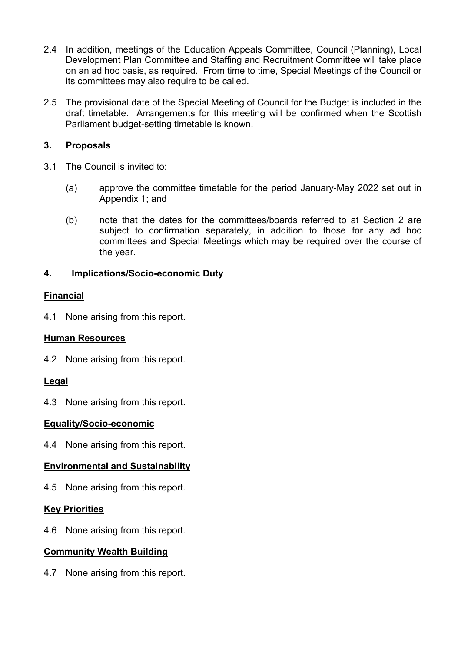- 2.4 In addition, meetings of the Education Appeals Committee, Council (Planning), Local Development Plan Committee and Staffing and Recruitment Committee will take place on an ad hoc basis, as required. From time to time, Special Meetings of the Council or its committees may also require to be called.
- 2.5 The provisional date of the Special Meeting of Council for the Budget is included in the draft timetable. Arrangements for this meeting will be confirmed when the Scottish Parliament budget-setting timetable is known.

## **3. Proposals**

- 3.1 The Council is invited to:
	- (a) approve the committee timetable for the period January-May 2022 set out in Appendix 1; and
	- (b) note that the dates for the committees/boards referred to at Section 2 are subject to confirmation separately, in addition to those for any ad hoc committees and Special Meetings which may be required over the course of the year.

## **4. Implications/Socio-economic Duty**

## **Financial**

4.1 None arising from this report.

## **Human Resources**

4.2 None arising from this report.

## **Legal**

4.3 None arising from this report.

## **Equality/Socio-economic**

4.4 None arising from this report.

## **Environmental and Sustainability**

4.5 None arising from this report.

## **Key Priorities**

4.6 None arising from this report.

## **Community Wealth Building**

4.7 None arising from this report.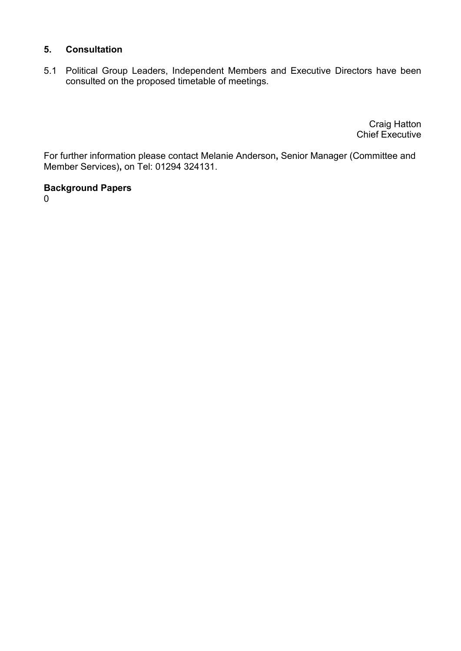## **5. Consultation**

5.1 Political Group Leaders, Independent Members and Executive Directors have been consulted on the proposed timetable of meetings.

> Craig Hatton Chief Executive

For further information please contact Melanie Anderson**,** Senior Manager (Committee and Member Services)**,** on Tel: 01294 324131.

## **Background Papers**

0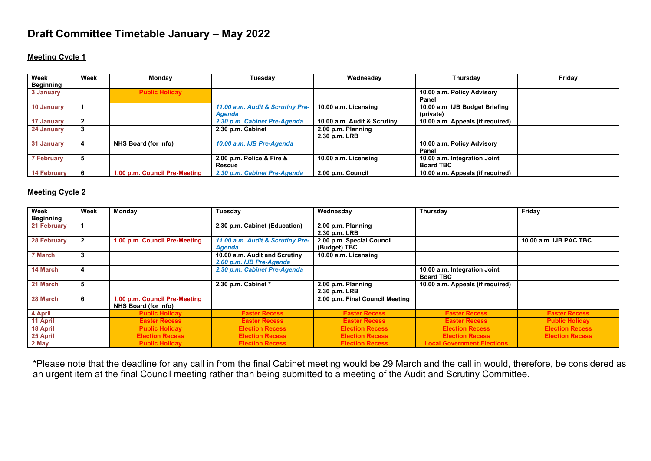# **Draft Committee Timetable January – May 2022**

#### **Meeting Cycle 1**

| Week<br><b>Beginning</b> | Week | Monday                        | Tuesdav                                    | Wednesday                           | Thursday                                         | Friday |
|--------------------------|------|-------------------------------|--------------------------------------------|-------------------------------------|--------------------------------------------------|--------|
| 3 January                |      | <b>Public Holiday</b>         |                                            |                                     | 10.00 a.m. Policy Advisory<br>Panel              |        |
| 10 January               |      |                               | 11.00 a.m. Audit & Scrutiny Pre-<br>Agenda | 10.00 a.m. Licensing                | 10.00 a.m IJB Budget Briefing<br>(private)       |        |
| 17 January               |      |                               | 2.30 p.m. Cabinet Pre-Agenda               | 10.00 a.m. Audit & Scrutiny         | 10.00 a.m. Appeals (if required)                 |        |
| 24 January               |      |                               | 2.30 p.m. Cabinet                          | 2.00 p.m. Planning<br>2.30 p.m. LRB |                                                  |        |
| 31 January               |      | NHS Board (for info)          | 10.00 a.m. IJB Pre-Agenda                  |                                     | 10.00 a.m. Policy Advisory<br>Panel              |        |
| <b>7 February</b>        |      |                               | 2.00 p.m. Police & Fire &<br>Rescue        | 10.00 a.m. Licensing                | 10.00 a.m. Integration Joint<br><b>Board TBC</b> |        |
| <b>14 February</b>       |      | 1.00 p.m. Council Pre-Meeting | 2.30 p.m. Cabinet Pre-Agenda               | 2.00 p.m. Council                   | 10.00 a.m. Appeals (if required)                 |        |

#### **Meeting Cycle 2**

| Week<br>Beginning | Week         | Monday                                                | Tuesday                                                   | Wednesday                                 | Thursday                                         | Friday                 |
|-------------------|--------------|-------------------------------------------------------|-----------------------------------------------------------|-------------------------------------------|--------------------------------------------------|------------------------|
| 21 February       |              |                                                       | 2.30 p.m. Cabinet (Education)                             | 2.00 p.m. Planning<br>2.30 p.m. LRB       |                                                  |                        |
| 28 February       | $\mathbf{2}$ | 1.00 p.m. Council Pre-Meeting                         | 11.00 a.m. Audit & Scrutiny Pre-<br>Agenda                | 2.00 p.m. Special Council<br>(Budget) TBC |                                                  | 10.00 a.m. IJB PAC TBC |
| 7 March           | 3            |                                                       | 10.00 a.m. Audit and Scrutiny<br>2.00 p.m. IJB Pre-Agenda | 10.00 a.m. Licensing                      |                                                  |                        |
| 14 March          | 4            |                                                       | 2.30 p.m. Cabinet Pre-Agenda                              |                                           | 10.00 a.m. Integration Joint<br><b>Board TBC</b> |                        |
| 21 March          | 5            |                                                       | 2.30 p.m. Cabinet *                                       | 2.00 p.m. Planning<br>2.30 p.m. LRB       | 10.00 a.m. Appeals (if required)                 |                        |
| 28 March          | 6            | 1.00 p.m. Council Pre-Meeting<br>NHS Board (for info) |                                                           | 2.00 p.m. Final Council Meeting           |                                                  |                        |
| 4 April           |              | <b>Public Holiday</b>                                 | <b>Easter Recess</b>                                      | <b>Easter Recess</b>                      | <b>Easter Recess</b>                             | <b>Easter Recess</b>   |
| 11 April          |              | <b>Easter Recess</b>                                  | <b>Easter Recess</b>                                      | <b>Easter Recess</b>                      | <b>Easter Recess</b>                             | <b>Public Holiday</b>  |
| 18 April          |              | <b>Public Holiday</b>                                 | <b>Election Recess</b>                                    | <b>Election Recess</b>                    | <b>Election Recess</b>                           | <b>Election Recess</b> |
| 25 April          |              | <b>Election Recess</b>                                | <b>Election Recess</b>                                    | <b>Election Recess</b>                    | <b>Election Recess</b>                           | <b>Election Recess</b> |
| 2 May             |              | <b>Public Holiday</b>                                 | <b>Election Recess</b>                                    | <b>Election Recess</b>                    | <b>Local Government Elections</b>                |                        |

\*Please note that the deadline for any call in from the final Cabinet meeting would be 29 March and the call in would, therefore, be considered as an urgent item at the final Council meeting rather than being submitted to a meeting of the Audit and Scrutiny Committee.